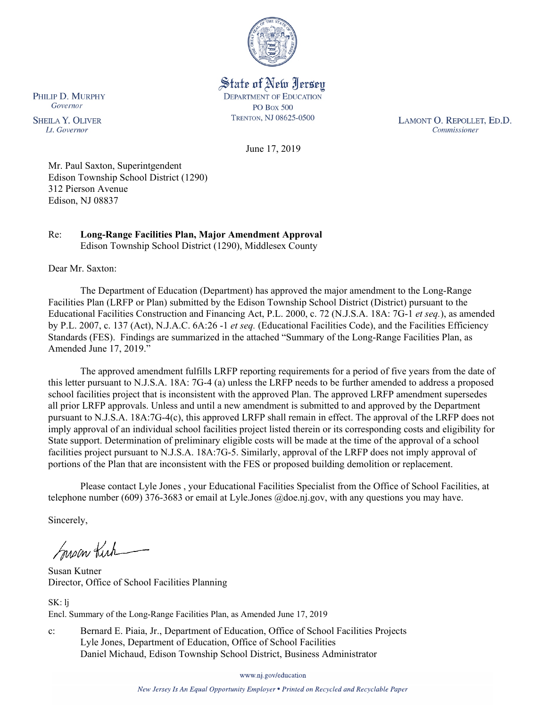

### State of New Jersey **DEPARTMENT OF EDUCATION PO Box 500**

TRENTON, NJ 08625-0500

LAMONT O. REPOLLET, ED.D. Commissioner

June 17, 2019

Mr. Paul Saxton, Superintgendent Edison Township School District (1290) 312 Pierson Avenue Edison, NJ 08837

#### Re: **Long-Range Facilities Plan, Major Amendment Approval** Edison Township School District (1290), Middlesex County

Dear Mr. Saxton:

The Department of Education (Department) has approved the major amendment to the Long-Range Facilities Plan (LRFP or Plan) submitted by the Edison Township School District (District) pursuant to the Educational Facilities Construction and Financing Act, P.L. 2000, c. 72 (N.J.S.A. 18A: 7G-1 *et seq.*), as amended by P.L. 2007, c. 137 (Act), N.J.A.C. 6A:26 -1 *et seq.* (Educational Facilities Code), and the Facilities Efficiency Standards (FES). Findings are summarized in the attached "Summary of the Long-Range Facilities Plan, as Amended June 17, 2019."

The approved amendment fulfills LRFP reporting requirements for a period of five years from the date of this letter pursuant to N.J.S.A. 18A: 7G-4 (a) unless the LRFP needs to be further amended to address a proposed school facilities project that is inconsistent with the approved Plan. The approved LRFP amendment supersedes all prior LRFP approvals. Unless and until a new amendment is submitted to and approved by the Department pursuant to N.J.S.A. 18A:7G-4(c), this approved LRFP shall remain in effect. The approval of the LRFP does not imply approval of an individual school facilities project listed therein or its corresponding costs and eligibility for State support. Determination of preliminary eligible costs will be made at the time of the approval of a school facilities project pursuant to N.J.S.A. 18A:7G-5. Similarly, approval of the LRFP does not imply approval of portions of the Plan that are inconsistent with the FES or proposed building demolition or replacement.

Please contact Lyle Jones , your Educational Facilities Specialist from the Office of School Facilities, at telephone number (609) 376-3683 or email at Lyle.Jones @doe.nj.gov, with any questions you may have.

Sincerely,

Susan Kirk

Susan Kutner Director, Office of School Facilities Planning

SK: lj Encl. Summary of the Long-Range Facilities Plan, as Amended June 17, 2019

c: Bernard E. Piaia, Jr., Department of Education, Office of School Facilities Projects Lyle Jones, Department of Education, Office of School Facilities Daniel Michaud, Edison Township School District, Business Administrator

www.nj.gov/education

New Jersey Is An Equal Opportunity Employer . Printed on Recycled and Recyclable Paper

PHILIP D. MURPHY Governor

**SHEILA Y. OLIVER** Lt. Governor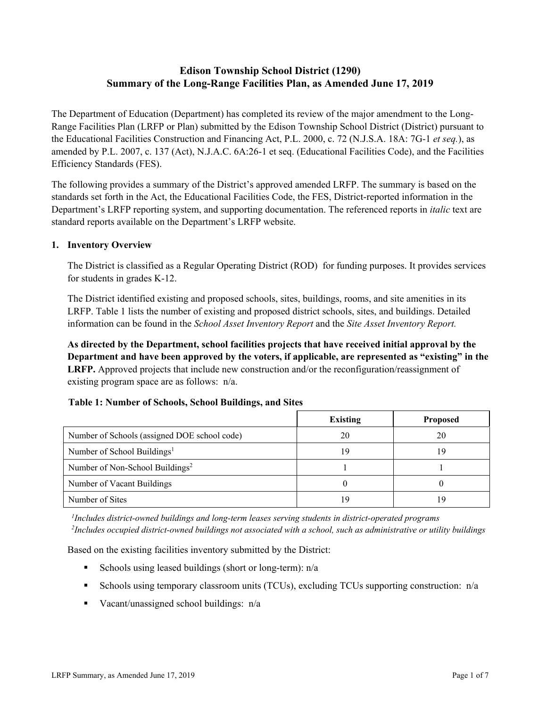# **Edison Township School District (1290) Summary of the Long-Range Facilities Plan, as Amended June 17, 2019**

The Department of Education (Department) has completed its review of the major amendment to the Long-Range Facilities Plan (LRFP or Plan) submitted by the Edison Township School District (District) pursuant to the Educational Facilities Construction and Financing Act, P.L. 2000, c. 72 (N.J.S.A. 18A: 7G-1 *et seq.*), as amended by P.L. 2007, c. 137 (Act), N.J.A.C. 6A:26-1 et seq. (Educational Facilities Code), and the Facilities Efficiency Standards (FES).

The following provides a summary of the District's approved amended LRFP. The summary is based on the standards set forth in the Act, the Educational Facilities Code, the FES, District-reported information in the Department's LRFP reporting system, and supporting documentation. The referenced reports in *italic* text are standard reports available on the Department's LRFP website.

### **1. Inventory Overview**

The District is classified as a Regular Operating District (ROD) for funding purposes. It provides services for students in grades K-12.

The District identified existing and proposed schools, sites, buildings, rooms, and site amenities in its LRFP. Table 1 lists the number of existing and proposed district schools, sites, and buildings. Detailed information can be found in the *School Asset Inventory Report* and the *Site Asset Inventory Report.*

**As directed by the Department, school facilities projects that have received initial approval by the Department and have been approved by the voters, if applicable, are represented as "existing" in the LRFP.** Approved projects that include new construction and/or the reconfiguration/reassignment of existing program space are as follows: n/a.

# **Table 1: Number of Schools, School Buildings, and Sites**

|                                              | <b>Existing</b> | <b>Proposed</b> |
|----------------------------------------------|-----------------|-----------------|
| Number of Schools (assigned DOE school code) | 20              | 20              |
| Number of School Buildings <sup>1</sup>      | 19              | 19              |
| Number of Non-School Buildings <sup>2</sup>  |                 |                 |
| Number of Vacant Buildings                   |                 |                 |
| Number of Sites                              | 9               | 19              |

*1 Includes district-owned buildings and long-term leases serving students in district-operated programs 2 Includes occupied district-owned buildings not associated with a school, such as administrative or utility buildings*

Based on the existing facilities inventory submitted by the District:

- Schools using leased buildings (short or long-term):  $n/a$
- Schools using temporary classroom units (TCUs), excluding TCUs supporting construction:  $n/a$
- Vacant/unassigned school buildings:  $n/a$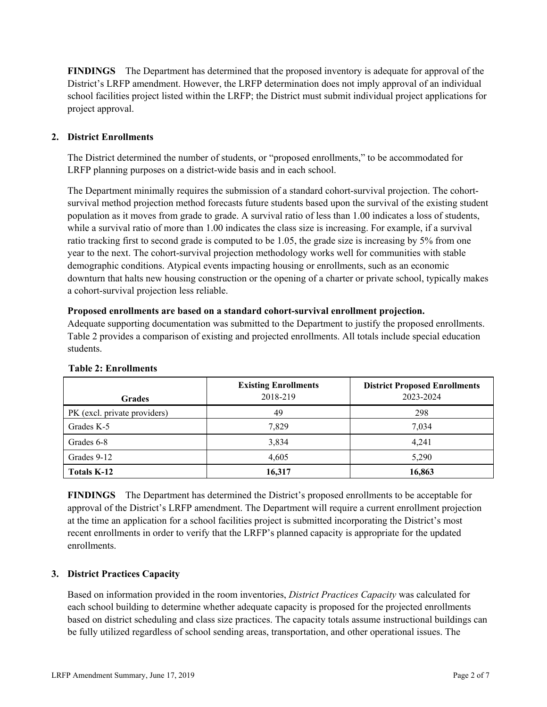**FINDINGS** The Department has determined that the proposed inventory is adequate for approval of the District's LRFP amendment. However, the LRFP determination does not imply approval of an individual school facilities project listed within the LRFP; the District must submit individual project applications for project approval.

# **2. District Enrollments**

The District determined the number of students, or "proposed enrollments," to be accommodated for LRFP planning purposes on a district-wide basis and in each school.

The Department minimally requires the submission of a standard cohort-survival projection. The cohortsurvival method projection method forecasts future students based upon the survival of the existing student population as it moves from grade to grade. A survival ratio of less than 1.00 indicates a loss of students, while a survival ratio of more than 1.00 indicates the class size is increasing. For example, if a survival ratio tracking first to second grade is computed to be 1.05, the grade size is increasing by 5% from one year to the next. The cohort-survival projection methodology works well for communities with stable demographic conditions. Atypical events impacting housing or enrollments, such as an economic downturn that halts new housing construction or the opening of a charter or private school, typically makes a cohort-survival projection less reliable.

#### **Proposed enrollments are based on a standard cohort-survival enrollment projection.**

Adequate supporting documentation was submitted to the Department to justify the proposed enrollments. Table 2 provides a comparison of existing and projected enrollments. All totals include special education students.

| <b>Grades</b>                | <b>Existing Enrollments</b><br>2018-219 | <b>District Proposed Enrollments</b><br>2023-2024 |
|------------------------------|-----------------------------------------|---------------------------------------------------|
| PK (excl. private providers) | 49                                      | 298                                               |
| Grades K-5                   | 7.829                                   | 7,034                                             |
| Grades 6-8                   | 3,834                                   | 4,241                                             |
| Grades 9-12                  | 4,605                                   | 5,290                                             |
| Totals K-12                  | 16,317                                  | 16,863                                            |

#### **Table 2: Enrollments**

**FINDINGS** The Department has determined the District's proposed enrollments to be acceptable for approval of the District's LRFP amendment. The Department will require a current enrollment projection at the time an application for a school facilities project is submitted incorporating the District's most recent enrollments in order to verify that the LRFP's planned capacity is appropriate for the updated enrollments.

# **3. District Practices Capacity**

Based on information provided in the room inventories, *District Practices Capacity* was calculated for each school building to determine whether adequate capacity is proposed for the projected enrollments based on district scheduling and class size practices. The capacity totals assume instructional buildings can be fully utilized regardless of school sending areas, transportation, and other operational issues. The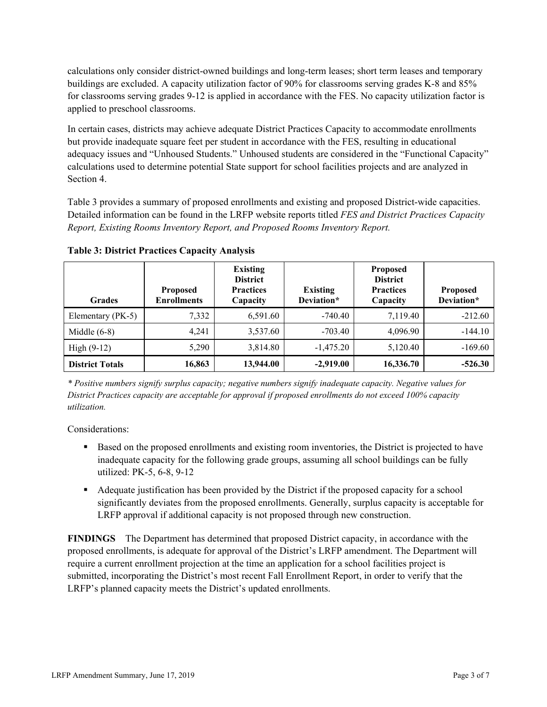calculations only consider district-owned buildings and long-term leases; short term leases and temporary buildings are excluded. A capacity utilization factor of 90% for classrooms serving grades K-8 and 85% for classrooms serving grades 9-12 is applied in accordance with the FES. No capacity utilization factor is applied to preschool classrooms.

In certain cases, districts may achieve adequate District Practices Capacity to accommodate enrollments but provide inadequate square feet per student in accordance with the FES, resulting in educational adequacy issues and "Unhoused Students." Unhoused students are considered in the "Functional Capacity" calculations used to determine potential State support for school facilities projects and are analyzed in Section 4.

Table 3 provides a summary of proposed enrollments and existing and proposed District-wide capacities. Detailed information can be found in the LRFP website reports titled *FES and District Practices Capacity Report, Existing Rooms Inventory Report, and Proposed Rooms Inventory Report.*

| <b>Grades</b>          | <b>Proposed</b><br><b>Enrollments</b> | <b>Existing</b><br><b>District</b><br><b>Practices</b><br>Capacity | <b>Existing</b><br>Deviation* | <b>Proposed</b><br><b>District</b><br><b>Practices</b><br>Capacity | <b>Proposed</b><br>Deviation* |
|------------------------|---------------------------------------|--------------------------------------------------------------------|-------------------------------|--------------------------------------------------------------------|-------------------------------|
| Elementary (PK-5)      | 7,332                                 | 6,591.60                                                           | $-740.40$                     | 7,119.40                                                           | $-212.60$                     |
| Middle $(6-8)$         | 4,241                                 | 3,537.60                                                           | $-703.40$                     | 4,096.90                                                           | $-144.10$                     |
| High $(9-12)$          | 5,290                                 | 3,814.80                                                           | $-1,475.20$                   | 5,120.40                                                           | $-169.60$                     |
| <b>District Totals</b> | 16,863                                | 13,944.00                                                          | $-2,919.00$                   | 16,336.70                                                          | $-526.30$                     |

**Table 3: District Practices Capacity Analysis**

*\* Positive numbers signify surplus capacity; negative numbers signify inadequate capacity. Negative values for District Practices capacity are acceptable for approval if proposed enrollments do not exceed 100% capacity utilization.*

Considerations:

- Based on the proposed enrollments and existing room inventories, the District is projected to have inadequate capacity for the following grade groups, assuming all school buildings can be fully utilized: PK-5, 6-8, 9-12
- Adequate justification has been provided by the District if the proposed capacity for a school significantly deviates from the proposed enrollments. Generally, surplus capacity is acceptable for LRFP approval if additional capacity is not proposed through new construction.

**FINDINGS**The Department has determined that proposed District capacity, in accordance with the proposed enrollments, is adequate for approval of the District's LRFP amendment. The Department will require a current enrollment projection at the time an application for a school facilities project is submitted, incorporating the District's most recent Fall Enrollment Report, in order to verify that the LRFP's planned capacity meets the District's updated enrollments.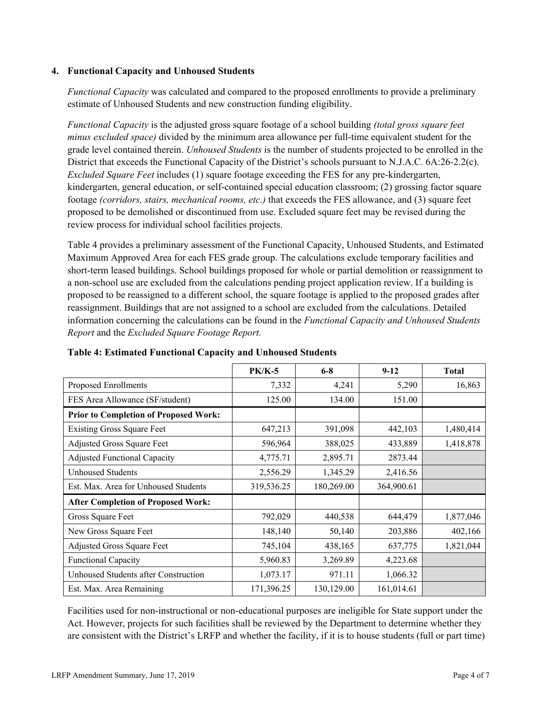### **4. Functional Capacity and Unhoused Students**

*Functional Capacity* was calculated and compared to the proposed enrollments to provide a preliminary estimate of Unhoused Students and new construction funding eligibility.

*Functional Capacity* is the adjusted gross square footage of a school building *(total gross square feet minus excluded space)* divided by the minimum area allowance per full-time equivalent student for the grade level contained therein. *Unhoused Students* is the number of students projected to be enrolled in the District that exceeds the Functional Capacity of the District's schools pursuant to N.J.A.C. 6A:26-2.2(c). *Excluded Square Feet* includes (1) square footage exceeding the FES for any pre-kindergarten, kindergarten, general education, or self-contained special education classroom; (2) grossing factor square footage *(corridors, stairs, mechanical rooms, etc.)* that exceeds the FES allowance, and (3) square feet proposed to be demolished or discontinued from use. Excluded square feet may be revised during the review process for individual school facilities projects.

Table 4 provides a preliminary assessment of the Functional Capacity, Unhoused Students, and Estimated Maximum Approved Area for each FES grade group. The calculations exclude temporary facilities and short-term leased buildings. School buildings proposed for whole or partial demolition or reassignment to a non-school use are excluded from the calculations pending project application review. If a building is proposed to be reassigned to a different school, the square footage is applied to the proposed grades after reassignment. Buildings that are not assigned to a school are excluded from the calculations. Detailed information concerning the calculations can be found in the *Functional Capacity and Unhoused Students Report* and the *Excluded Square Footage Report.*

|                                              | <b>PK/K-5</b> | $6-8$      | $9-12$     | <b>Total</b> |
|----------------------------------------------|---------------|------------|------------|--------------|
| Proposed Enrollments                         | 7,332         | 4,241      | 5,290      | 16,863       |
| FES Area Allowance (SF/student)              | 125.00        | 134.00     | 151.00     |              |
| <b>Prior to Completion of Proposed Work:</b> |               |            |            |              |
| <b>Existing Gross Square Feet</b>            | 647,213       | 391,098    | 442,103    | 1,480,414    |
| Adjusted Gross Square Feet                   | 596,964       | 388,025    | 433,889    | 1,418,878    |
| <b>Adjusted Functional Capacity</b>          | 4,775.71      | 2,895.71   | 2873.44    |              |
| <b>Unhoused Students</b>                     | 2,556.29      | 1,345.29   | 2,416.56   |              |
| Est. Max. Area for Unhoused Students         | 319,536.25    | 180,269.00 | 364,900.61 |              |
| <b>After Completion of Proposed Work:</b>    |               |            |            |              |
| Gross Square Feet                            | 792,029       | 440,538    | 644,479    | 1,877,046    |
| New Gross Square Feet                        | 148,140       | 50,140     | 203,886    | 402,166      |
| Adjusted Gross Square Feet                   | 745,104       | 438,165    | 637,775    | 1,821,044    |
| <b>Functional Capacity</b>                   | 5,960.83      | 3,269.89   | 4,223.68   |              |
| Unhoused Students after Construction         | 1,073.17      | 971.11     | 1,066.32   |              |
| Est. Max. Area Remaining                     | 171,396.25    | 130,129.00 | 161,014.61 |              |

**Table 4: Estimated Functional Capacity and Unhoused Students** 

Facilities used for non-instructional or non-educational purposes are ineligible for State support under the Act. However, projects for such facilities shall be reviewed by the Department to determine whether they are consistent with the District's LRFP and whether the facility, if it is to house students (full or part time)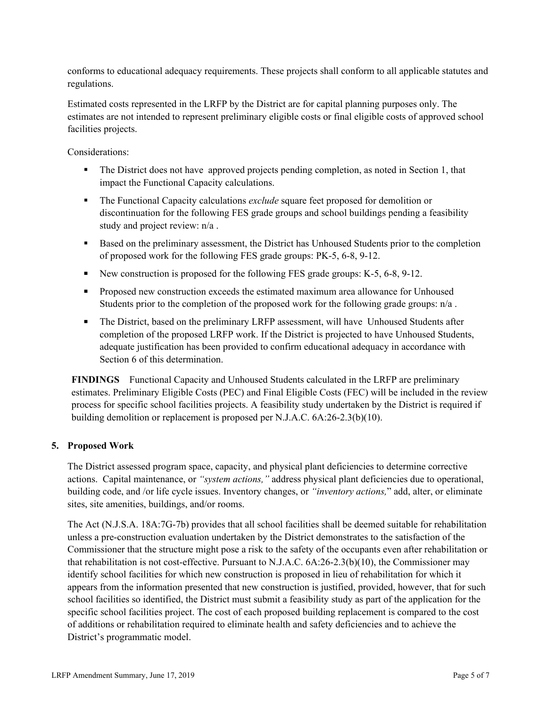conforms to educational adequacy requirements. These projects shall conform to all applicable statutes and regulations.

Estimated costs represented in the LRFP by the District are for capital planning purposes only. The estimates are not intended to represent preliminary eligible costs or final eligible costs of approved school facilities projects.

Considerations:

- The District does not have approved projects pending completion, as noted in Section 1, that impact the Functional Capacity calculations.
- The Functional Capacity calculations *exclude* square feet proposed for demolition or discontinuation for the following FES grade groups and school buildings pending a feasibility study and project review: n/a .
- Based on the preliminary assessment, the District has Unhoused Students prior to the completion of proposed work for the following FES grade groups: PK-5, 6-8, 9-12.
- New construction is proposed for the following FES grade groups: K-5, 6-8, 9-12.
- **Proposed new construction exceeds the estimated maximum area allowance for Unhoused** Students prior to the completion of the proposed work for the following grade groups: n/a .
- The District, based on the preliminary LRFP assessment, will have Unhoused Students after completion of the proposed LRFP work. If the District is projected to have Unhoused Students, adequate justification has been provided to confirm educational adequacy in accordance with Section 6 of this determination.

**FINDINGS** Functional Capacity and Unhoused Students calculated in the LRFP are preliminary estimates. Preliminary Eligible Costs (PEC) and Final Eligible Costs (FEC) will be included in the review process for specific school facilities projects. A feasibility study undertaken by the District is required if building demolition or replacement is proposed per N.J.A.C. 6A:26-2.3(b)(10).

# **5. Proposed Work**

The District assessed program space, capacity, and physical plant deficiencies to determine corrective actions. Capital maintenance, or *"system actions,"* address physical plant deficiencies due to operational, building code, and /or life cycle issues. Inventory changes, or *"inventory actions,*" add, alter, or eliminate sites, site amenities, buildings, and/or rooms.

The Act (N.J.S.A. 18A:7G-7b) provides that all school facilities shall be deemed suitable for rehabilitation unless a pre-construction evaluation undertaken by the District demonstrates to the satisfaction of the Commissioner that the structure might pose a risk to the safety of the occupants even after rehabilitation or that rehabilitation is not cost-effective. Pursuant to N.J.A.C. 6A:26-2.3(b)(10), the Commissioner may identify school facilities for which new construction is proposed in lieu of rehabilitation for which it appears from the information presented that new construction is justified, provided, however, that for such school facilities so identified, the District must submit a feasibility study as part of the application for the specific school facilities project. The cost of each proposed building replacement is compared to the cost of additions or rehabilitation required to eliminate health and safety deficiencies and to achieve the District's programmatic model.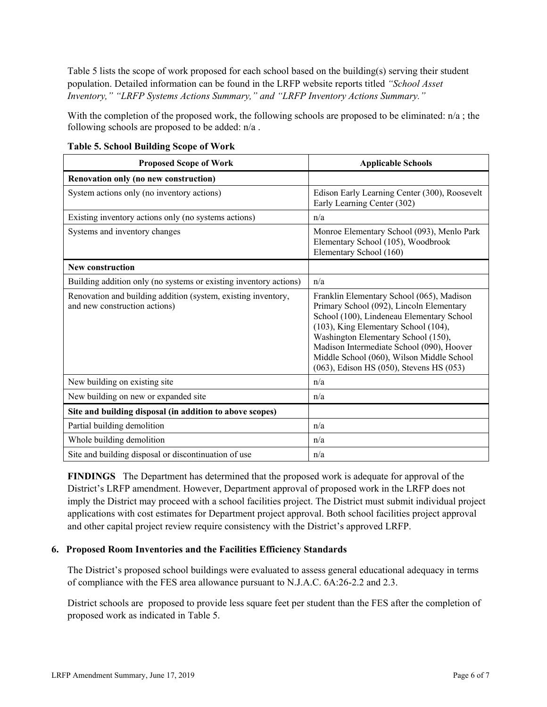Table 5 lists the scope of work proposed for each school based on the building(s) serving their student population. Detailed information can be found in the LRFP website reports titled *"School Asset Inventory," "LRFP Systems Actions Summary," and "LRFP Inventory Actions Summary."*

With the completion of the proposed work, the following schools are proposed to be eliminated: n/a ; the following schools are proposed to be added: n/a .

| <b>Proposed Scope of Work</b>                                                                  | <b>Applicable Schools</b>                                                                                                                                                                                                                                                                                                                               |
|------------------------------------------------------------------------------------------------|---------------------------------------------------------------------------------------------------------------------------------------------------------------------------------------------------------------------------------------------------------------------------------------------------------------------------------------------------------|
| Renovation only (no new construction)                                                          |                                                                                                                                                                                                                                                                                                                                                         |
| System actions only (no inventory actions)                                                     | Edison Early Learning Center (300), Roosevelt<br>Early Learning Center (302)                                                                                                                                                                                                                                                                            |
| Existing inventory actions only (no systems actions)                                           | n/a                                                                                                                                                                                                                                                                                                                                                     |
| Systems and inventory changes                                                                  | Monroe Elementary School (093), Menlo Park<br>Elementary School (105), Woodbrook<br>Elementary School (160)                                                                                                                                                                                                                                             |
| <b>New construction</b>                                                                        |                                                                                                                                                                                                                                                                                                                                                         |
| Building addition only (no systems or existing inventory actions)                              | n/a                                                                                                                                                                                                                                                                                                                                                     |
| Renovation and building addition (system, existing inventory,<br>and new construction actions) | Franklin Elementary School (065), Madison<br>Primary School (092), Lincoln Elementary<br>School (100), Lindeneau Elementary School<br>(103), King Elementary School (104),<br>Washington Elementary School (150),<br>Madison Intermediate School (090), Hoover<br>Middle School (060), Wilson Middle School<br>(063), Edison HS (050), Stevens HS (053) |
| New building on existing site                                                                  | n/a                                                                                                                                                                                                                                                                                                                                                     |
| New building on new or expanded site                                                           | n/a                                                                                                                                                                                                                                                                                                                                                     |
| Site and building disposal (in addition to above scopes)                                       |                                                                                                                                                                                                                                                                                                                                                         |
| Partial building demolition                                                                    | n/a                                                                                                                                                                                                                                                                                                                                                     |
| Whole building demolition                                                                      | n/a                                                                                                                                                                                                                                                                                                                                                     |
| Site and building disposal or discontinuation of use                                           | n/a                                                                                                                                                                                                                                                                                                                                                     |

**Table 5. School Building Scope of Work**

**FINDINGS** The Department has determined that the proposed work is adequate for approval of the District's LRFP amendment. However, Department approval of proposed work in the LRFP does not imply the District may proceed with a school facilities project. The District must submit individual project applications with cost estimates for Department project approval. Both school facilities project approval and other capital project review require consistency with the District's approved LRFP.

### **6. Proposed Room Inventories and the Facilities Efficiency Standards**

The District's proposed school buildings were evaluated to assess general educational adequacy in terms of compliance with the FES area allowance pursuant to N.J.A.C. 6A:26-2.2 and 2.3.

District schools are proposed to provide less square feet per student than the FES after the completion of proposed work as indicated in Table 5.